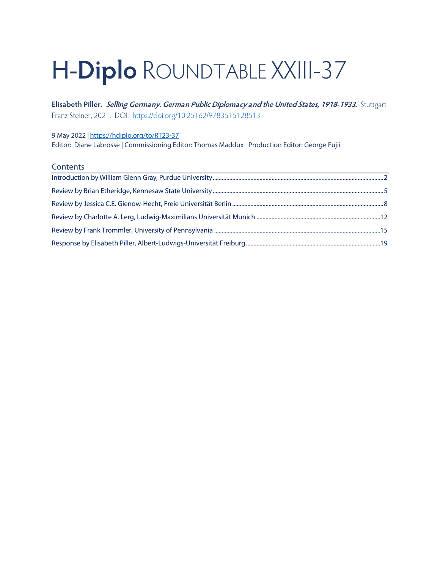# H-**Diplo** ROUNDTABLE XXIII-37

**Elisabeth Piller. Selling Germany. German Public Diplomacy and the United States, 1918-1933.** Stuttgart: Franz Steiner, 2021. DOI: [https://doi.org/10.25162/9783515128513.](https://doi.org/10.25162/9783515128513) 

9 May 2022 *|* <https://hdiplo.org/to/RT23-37>

Editor: Diane Labrosse | Commissioning Editor: Thomas Maddux | Production Editor: George Fujii

#### **Contents**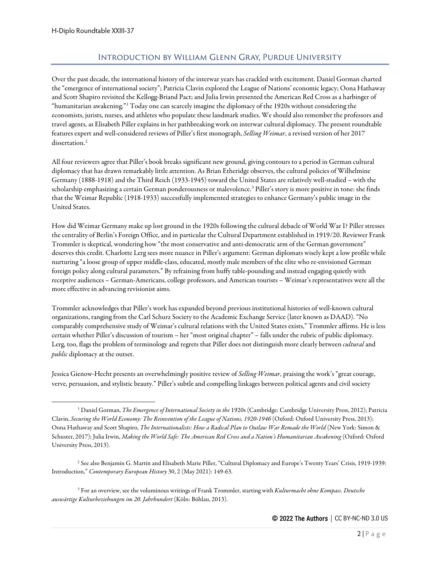# Introduction by William Glenn Gray, Purdue University

<span id="page-1-0"></span>Over the past decade, the international history of the interwar years has crackled with excitement. Daniel Gorman charted the "emergence of international society"; Patricia Clavin explored the League of Nations' economic legacy; Oona Hathaway and Scott Shapiro revisited the Kellogg-Briand Pact; and Julia Irwin presented the American Red Cross as a harbinger of "humanitarian awakening."[1](#page-1-1) Today one can scarcely imagine the diplomacy of the 1920s without considering the economists, jurists, nurses, and athletes who populate these landmark studies. We should also remember the professors and travel agents, as Elisabeth Piller explains in her pathbreaking work on interwar cultural diplomacy. The present roundtable features expert and well-considered reviews of Piller's first monograph, *Selling Weimar*, a revised version of her 2017 dissertation.<sup>[2](#page-1-2)</sup>

All four reviewers agree that Piller's book breaks significant new ground, giving contours to a period in German cultural diplomacy that has drawn remarkably little attention. As Brian Etheridge observes, the cultural policies of Wilhelmine Germany (1888-1918) and the Third Reich (1933-1945) toward the United States are relatively well-studied – with the scholarship emphasizing a certain German ponderousness or malevolence.<sup>[3](#page-1-3)</sup> Piller's story is more positive in tone: she finds that the Weimar Republic (1918-1933) successfully implemented strategies to enhance Germany's public image in the United States.

How did Weimar Germany make up lost ground in the 1920s following the cultural debacle of World War I? Piller stresses the centrality of Berlin's Foreign Office, and in particular the Cultural Department established in 1919/20. Reviewer Frank Trommler is skeptical, wondering how "the most conservative and anti-democratic arm of the German government" deserves this credit. Charlotte Lerg sees more nuance in Piller's argument: German diplomats wisely kept a low profile while nurturing "a loose group of upper middle-class, educated, mostly male members of the elite who re-envisioned German foreign policy along cultural parameters." By refraining from huffy table-pounding and instead engaging quietly with receptive audiences – German-Americans, college professors, and American tourists – Weimar's representatives were all the more effective in advancing revisionist aims.

Trommler acknowledges that Piller's work has expanded beyond previous institutional histories of well-known cultural organizations, ranging from the Carl Schurz Society to the Academic Exchange Service (later known as DAAD). "No comparably comprehensive study of Weimar's cultural relations with the United States exists," Trommler affirms. He is less certain whether Piller's discussion of tourism – her "most original chapter" – falls under the rubric of public diplomacy. Lerg, too, flags the problem of terminology and regrets that Piller does not distinguish more clearly between *cultural*and *public* diplomacy at the outset.

Jessica Gienow-Hecht presents an overwhelmingly positive review of *Selling Weimar*, praising the work's "great courage, verve, persuasion, and stylistic beauty." Piller's subtle and compelling linkages between political agents and civil society

<span id="page-1-3"></span><sup>3</sup> For an overview, see the voluminous writings of Frank Trommler, starting with *Kulturmacht ohne Kompass. Deutsche auswärtige Kulturbeziehungen im 20. Jahrhundert* (Köln: Böhlau, 2013).

<span id="page-1-1"></span><sup>1</sup> Daniel Gorman, *The Emergence of International Society in the* 1920s (Cambridge: Cambridge University Press, 2012); Patricia Clavin, *Securing the World Economy: The Reinvention of the League of Nations, 1920-1946* (Oxford: Oxford University Press, 2013); Oona Hathaway and Scott Shapiro, *The Internationalists: How a Radical Plan to Outlaw War Remade the World* (New York: Simon & Schuster, 2017); Julia Irwin, *Making the World Safe: The American Red Cross and a Nation's Humanitarian Awakening* (Oxford: Oxford University Press, 2013).

<span id="page-1-2"></span><sup>2</sup> See also Benjamin G. Martin and Elisabeth Marie Piller, "Cultural Diplomacy and Europe's Twenty Years' Crisis, 1919-1939: Introduction," *Contemporary European History* 30, 2 (May 2021): 149-63.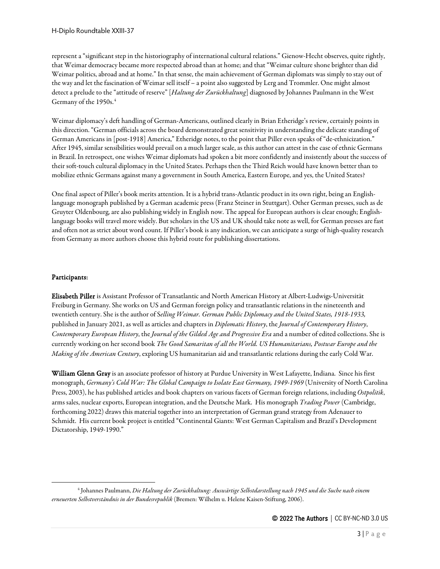represent a "significant step in the historiography of international cultural relations." Gienow-Hecht observes, quite rightly, that Weimar democracy became more respected abroad than at home; and that "Weimar culture shone brighter than did Weimar politics, abroad and at home." In that sense, the main achievement of German diplomats was simply to stay out of the way and let the fascination of Weimar sell itself – a point also suggested by Lerg and Trommler. One might almost detect a prelude to the "attitude of reserve" [*Haltung der Zurückhaltung*] diagnosed by Johannes Paulmann in the West Germany of the 1950s.<sup>[4](#page-2-0)</sup>

Weimar diplomacy's deft handling of German-Americans, outlined clearly in Brian Etheridge's review, certainly points in this direction. "German officials across the board demonstrated great sensitivity in understanding the delicate standing of German Americans in [post-1918] America," Etheridge notes, to the point that Piller even speaks of "de-ethnicization." After 1945, similar sensibilities would prevail on a much larger scale, as this author can attest in the case of ethnic Germans in Brazil. In retrospect, one wishes Weimar diplomats had spoken a bit more confidently and insistently about the success of their soft-touch cultural diplomacy in the United States. Perhaps then the Third Reich would have known better than to mobilize ethnic Germans against many a government in South America, Eastern Europe, and yes, the United States?

One final aspect of Piller's book merits attention. It is a hybrid trans-Atlantic product in its own right, being an Englishlanguage monograph published by a German academic press (Franz Steiner in Stuttgart). Other German presses, such as de Gruyter Oldenbourg, are also publishing widely in English now. The appeal for European authors is clear enough; Englishlanguage books will travel more widely. But scholars in the US and UK should take note as well, for German presses are fast and often not as strict about word count. If Piller's book is any indication, we can anticipate a surge of high-quality research from Germany as more authors choose this hybrid route for publishing dissertations.

## Participants:

Elisabeth Piller is Assistant Professor of Transatlantic and North American History at Albert-Ludwigs-Universität Freiburg in Germany. She works on US and German foreign policy and transatlantic relations in the nineteenth and twentieth century. She is the author of S*elling Weimar. German Public Diplomacy and the United States, 1918-1933,*  published in January 2021, as well as articles and chapters in *Diplomatic History*, the *Journal of Contemporary History*, *Contemporary European History*, the *Journal of the Gilded Age and Progressive Era* and a number of edited collections. She is currently working on her second book *The Good Samaritan of all the World. US Humanitarians, Postwar Europe and the Making of the American Century*, exploring US humanitarian aid and transatlantic relations during the early Cold War.

William Glenn Gray is an associate professor of history at Purdue University in West Lafayette, Indiana. Since his first monograph, *Germany's Cold War: The Global Campaign to Isolate East Germany, 1949-1969* (University of North Carolina Press, 2003), he has published articles and book chapters on various facets of German foreign relations, including *Ostpolitik*, arms sales, nuclear exports, European integration, and the Deutsche Mark. His monograph *Trading Power* (Cambridge, forthcoming 2022) draws this material together into an interpretation of German grand strategy from Adenauer to Schmidt. His current book project is entitled "Continental Giants: West German Capitalism and Brazil's Development Dictatorship, 1949-1990."

<span id="page-2-0"></span><sup>4</sup> Johannes Paulmann, *Die Haltung der Zurückhaltung: Auswärtige Selbstdarstellung nach 1945 und die Suche nach einem erneuerten Selbstverständnis in der Bundesrepublik* (Bremen: Wilhelm u. Helene Kaisen-Stiftung, 2006).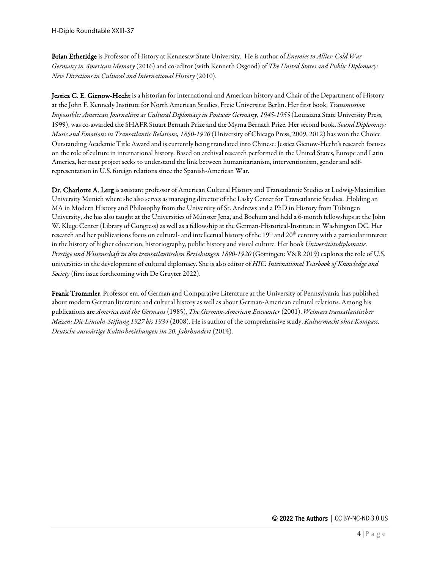Brian Etheridge is Professor of History at Kennesaw State University. He is author of *Enemies to Allies: Cold War Germany in American Memory* (2016) and co-editor (with Kenneth Osgood) of *The United States and Public Diplomacy: New Directions in Cultural and International History* (2010).

Jessica C. E. Gienow-Hecht is a historian for international and American history and Chair of the Department of History at the John F. Kennedy Institute for North American Studies, Freie Universität Berlin. Her first book, *Transmission Impossible: American Journalism as Cultural Diplomacy in Postwar Germany, 1945-1955* (Louisiana State University Press, 1999), was co-awarded the SHAFR Stuart Bernath Prize and the Myrna Bernath Prize. Her second book, *Sound Diplomacy: Music and Emotions in Transatlantic Relations, 1850-1920* (University of Chicago Press, 2009, 2012) has won the Choice Outstanding Academic Title Award and is currently being translated into Chinese. Jessica Gienow-Hecht's research focuses on the role of culture in international history. Based on archival research performed in the United States, Europe and Latin America, her next project seeks to understand the link between humanitarianism, interventionism, gender and selfrepresentation in U.S. foreign relations since the Spanish-American War.

Dr. Charlotte A. Lerg is assistant professor of American Cultural History and Transatlantic Studies at Ludwig-Maximilian University Munich where she also serves as managing director of the Lasky Center for Transatlantic Studies. Holding an MA in Modern History and Philosophy from the University of St. Andrews and a PhD in History from Tübingen University, she has also taught at the Universities of Münster Jena, and Bochum and held a 6-month fellowships at the John W. Kluge Center (Library of Congress) as well as a fellowship at the German-Historical-Institute in Washington DC. Her research and her publications focus on cultural- and intellectual history of the 19<sup>th</sup> and 20<sup>th</sup> century with a particular interest in the history of higher education, historiography, public history and visual culture. Her book *Universitätsdiplomatie. Prestige und Wissenschaft in den transatlantischen Beziehungen 1890-1920* (Göttingen: V&R 2019) explores the role of U.S. universities in the development of cultural diplomacy. She is also editor of *HIC. International Yearbook of Knowledge and Society* (first issue forthcoming with De Gruyter 2022).

Frank Trommler, Professor em. of German and Comparative Literature at the University of Pennsylvania, has published about modern German literature and cultural history as well as about German-American cultural relations. Among his publications are *America and the Germans* (1985), *The German-American Encounter* (2001), *Weimars transatlantischer Mäzen; Die Lincoln-Stiftung 1927 bis 1934* (2008). He is author of the comprehensive study, *Kulturmacht ohne Kompass. Deutsche auswärtige Kulturbeziehungen im 20. Jahrhundert* (2014).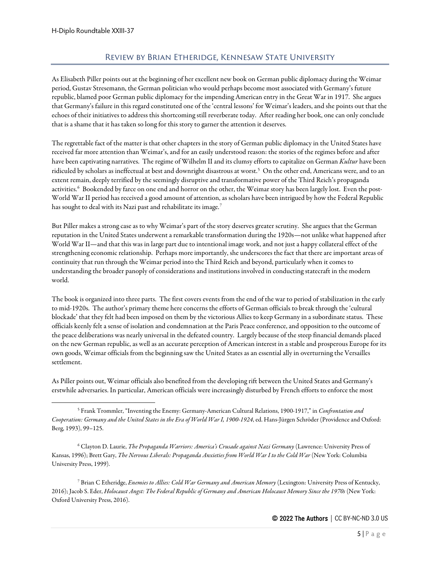## Review by Brian Etheridge, Kennesaw State University

<span id="page-4-0"></span>As Elisabeth Piller points out at the beginning of her excellent new book on German public diplomacy during the Weimar period, Gustav Stresemann, the German politician who would perhaps become most associated with Germany's future republic, blamed poor German public diplomacy for the impending American entry in the Great War in 1917. She argues that Germany's failure in this regard constituted one of the 'central lessons' for Weimar's leaders, and she points out that the echoes of their initiatives to address this shortcoming still reverberate today. After reading her book, one can only conclude that is a shame that it has taken so long for this story to garner the attention it deserves.

The regrettable fact of the matter is that other chapters in the story of German public diplomacy in the United States have received far more attention than Weimar's, and for an easily understood reason: the stories of the regimes before and after have been captivating narratives. The regime of Wilhelm II and its clumsy efforts to capitalize on German *Kultur* have been ridiculed by scholars as ineffectual at best and downright disastrous at worst.<sup>[5](#page-4-1)</sup> On the other end, Americans were, and to an extent remain, deeply terrified by the seemingly disruptive and transformative power of the Third Reich's propaganda activities.<sup>[6](#page-4-2)</sup> Bookended by farce on one end and horror on the other, the Weimar story has been largely lost. Even the post-World War II period has received a good amount of attention, as scholars have been intrigued by how the Federal Republic has sought to deal with its Nazi past and rehabilitate its image.<sup>[7](#page-4-3)</sup>

But Piller makes a strong case as to why Weimar's part of the story deserves greater scrutiny. She argues that the German reputation in the United States underwent a remarkable transformation during the 1920s—not unlike what happened after World War II—and that this was in large part due to intentional image work, and not just a happy collateral effect of the strengthening economic relationship. Perhaps more importantly, she underscores the fact that there are important areas of continuity that run through the Weimar period into the Third Reich and beyond, particularly when it comes to understanding the broader panoply of considerations and institutions involved in conducting statecraft in the modern world.

The book is organized into three parts. The first covers events from the end of the war to period of stabilization in the early to mid-1920s. The author's primary theme here concerns the efforts of German officials to break through the 'cultural blockade' that they felt had been imposed on them by the victorious Allies to keep Germany in a subordinate status. These officials keenly felt a sense of isolation and condemnation at the Paris Peace conference, and opposition to the outcome of the peace deliberations was nearly universal in the defeated country. Largely because of the steep financial demands placed on the new German republic, as well as an accurate perception of American interest in a stable and prosperous Europe for its own goods, Weimar officials from the beginning saw the United States as an essential ally in overturning the Versailles settlement.

As Piller points out, Weimar officials also benefited from the developing rift between the United States and Germany's erstwhile adversaries. In particular, American officials were increasingly disturbed by French efforts to enforce the most

<span id="page-4-2"></span><sup>6</sup> Clayton D. Laurie, *The Propaganda Warriors: America's Crusade against Nazi Germany* (Lawrence: University Press of Kansas, 1996); Brett Gary, *The Nervous Liberals: Propaganda Anxieties from World War I to the Cold War* (New York: Columbia University Press, 1999).

<span id="page-4-3"></span><sup>7</sup> Brian C Etheridge, *Enemies to Allies: Cold War Germany and American Memory* (Lexington: University Press of Kentucky, 2016); Jacob S. Eder, *Holocaust Angst: The Federal Republic of Germany and American Holocaust Memory Since the 1970s* (New York: Oxford University Press, 2016).

<span id="page-4-1"></span><sup>5</sup> Frank Trommler, "Inventing the Enemy: Germany-American Cultural Relations, 1900-1917," in *Confrontation and Cooperation: Germany and the United States in the Era of World War I, 1900-1924*, ed. Hans-Jürgen Schröder (Providence and Oxford: Berg, 1993), 99–125.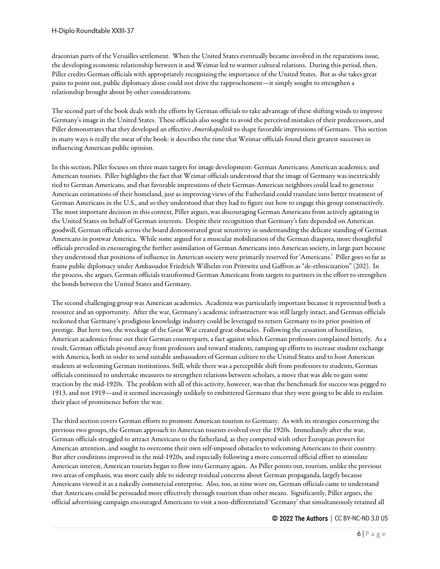draconian parts of the Versailles settlement. When the United States eventually became involved in the reparations issue, the developing economic relationship between it and Weimar led to warmer cultural relations. During this period, then, Piller credits German officials with appropriately recognizing the importance of the United States. But as she takes great pains to point out, public diplomacy alone could not drive the rapprochement—it simply sought to strengthen a relationship brought about by other considerations.

The second part of the book deals with the efforts by German officials to take advantage of these shifting winds to improve Germany's image in the United States. These officials also sought to avoid the perceived mistakes of their predecessors, and Piller demonstrates that they developed an effective *Amerikapolitik* to shape favorable impressions of Germans. This section in many ways is really the meat of the book: it describes the time that Weimar officials found their greatest successes in influencing American public opinion.

In this section, Piller focuses on three main targets for image development: German Americans; American academics; and American tourists. Piller highlights the fact that Weimar officials understood that the image of Germany was inextricably tied to German Americans, and that favorable impressions of their German-American neighbors could lead to generous American estimations of their homeland, just as improving views of the Fatherland could translate into better treatment of German Americans in the U.S., and so they understood that they had to figure out how to engage this group constructively. The most important decision in this context, Piller argues, was discouraging German Americans from actively agitating in the United States on behalf of German interests. Despite their recognition that Germany's fate depended on American goodwill, German officials across the board demonstrated great sensitivity in understanding the delicate standing of German Americans in postwar America. While some argued for a muscular mobilization of the German diaspora, more thoughtful officials prevailed in encouraging the further assimilation of German Americans into American society, in large part because they understood that positions of influence in American society were primarily reserved for 'Americans.' Piller goes so far as frame public diplomacy under Ambassador Friedrich Wilhelm von Prittwitz und Gaffron as "de-ethnicization" (202). In the process, she argues, German officials transformed German Americans from targets to partners in the effort to strengthen the bonds between the United States and Germany.

The second challenging group was American academics. Academia was particularly important because it represented both a resource and an opportunity. After the war, Germany's academic infrastructure was still largely intact, and German officials reckoned that Germany's prodigious knowledge industry could be leveraged to return Germany to its prior position of prestige. But here too, the wreckage of the Great War created great obstacles. Following the cessation of hostilities, American academics froze out their German counterparts, a fact against which German professors complained bitterly. As a result, German officials pivoted away from professors and toward students, ramping up efforts to increase student exchange with America, both in order to send suitable ambassadors of German culture to the United States and to host American students at welcoming German institutions. Still, while there was a perceptible shift from professors to students, German officials continued to undertake measures to strengthen relations between scholars, a move that was able to gain some traction by the mid-1920s. The problem with all of this activity, however, was that the benchmark for success was pegged to 1913, and not 1919—and it seemed increasingly unlikely to embittered Germans that they were going to be able to reclaim their place of prominence before the war.

The third section covers German efforts to promote American tourism to Germany. As with its strategies concerning the previous two groups, the German approach to American tourists evolved over the 1920s. Immediately after the war, German officials struggled to attract Americans to the fatherland, as they competed with other European powers for American attention, and sought to overcome their own self-imposed obstacles to welcoming Americans to their country. But after conditions improved in the mid-1920s, and especially following a more concerted official effort to stimulate American interest, American tourists began to flow into Germany again. As Piller points out, tourism, unlike the previous two areas of emphasis, was more easily able to sidestep residual concerns about German propaganda, largely because Americans viewed it as a nakedly commercial enterprise. Also, too, as time wore on, German officials came to understand that Americans could be persuaded more effectively through tourism than other means. Significantly, Piller argues, the official advertising campaign encouraged Americans to visit a non-differentiated 'Germany' that simultaneously retained all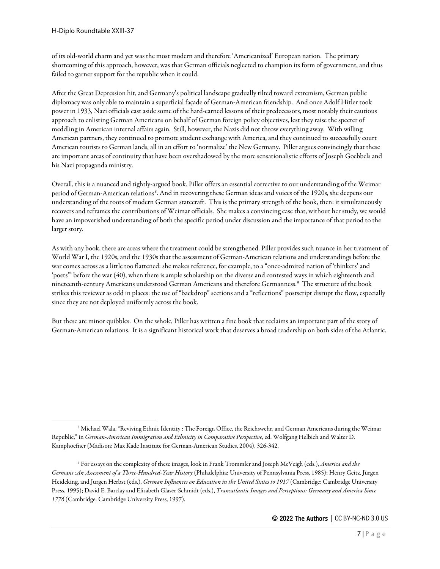of its old-world charm and yet was the most modern and therefore 'Americanized' European nation. The primary shortcoming of this approach, however, was that German officials neglected to champion its form of government, and thus failed to garner support for the republic when it could.

After the Great Depression hit, and Germany's political landscape gradually tilted toward extremism, German public diplomacy was only able to maintain a superficial façade of German-American friendship. And once Adolf Hitler took power in 1933, Nazi officials cast aside some of the hard-earned lessons of their predecessors, most notably their cautious approach to enlisting German Americans on behalf of German foreign policy objectives, lest they raise the specter of meddling in American internal affairs again. Still, however, the Nazis did not throw everything away. With willing American partners, they continued to promote student exchange with America, and they continued to successfully court American tourists to German lands, all in an effort to 'normalize' the New Germany. Piller argues convincingly that these are important areas of continuity that have been overshadowed by the more sensationalistic efforts of Joseph Goebbels and his Nazi propaganda ministry.

Overall, this is a nuanced and tightly-argued book. Piller offers an essential corrective to our understanding of the Weimar period of German-American relations[8](#page-6-0). And in recovering these German ideas and voices of the 1920s, she deepens our understanding of the roots of modern German statecraft. This is the primary strength of the book, then: it simultaneously recovers and reframes the contributions of Weimar officials. She makes a convincing case that, without her study, we would have an impoverished understanding of both the specific period under discussion and the importance of that period to the larger story.

As with any book, there are areas where the treatment could be strengthened. Piller provides such nuance in her treatment of World War I, the 1920s, and the 1930s that the assessment of German-American relations and understandings before the war comes across as a little too flattened: she makes reference, for example, to a "once-admired nation of 'thinkers' and 'poets'" before the war (40), when there is ample scholarship on the diverse and contested ways in which eighteenth and nineteenth-century Americans understood German Americans and therefore Germanness.[9](#page-6-1) The structure of the book strikes this reviewer as odd in places: the use of "backdrop" sections and a "reflections" postscript disrupt the flow, especially since they are not deployed uniformly across the book.

But these are minor quibbles. On the whole, Piller has written a fine book that reclaims an important part of the story of German-American relations. It is a significant historical work that deserves a broad readership on both sides of the Atlantic.

<span id="page-6-0"></span><sup>8</sup> Michael Wala, "Reviving Ethnic Identity : The Foreign Office, the Reichswehr, and German Americans during the Weimar Republic," in *German-American Immigration and Ethnicity in Comparative Perspective*, ed. Wolfgang Helbich and Walter D. Kamphoefner (Madison: Max Kade Institute for German-American Studies, 2004), 326-342.

<span id="page-6-1"></span><sup>9</sup> For essays on the complexity of these images, look in Frank Trommler and Joseph McVeigh (eds.), *America and the Germans :An Assessment of a Three-Hundred-Year History* (Philadelphia: University of Pennsylvania Press, 1985); Henry Geitz, Jürgen Heideking, and Jürgen Herbst (eds.), *German Influences on Education in the United States to 1917* (Cambridge: Cambridge University Press, 1995); David E. Barclay and Elisabeth Glaser-Schmidt (eds.), *Transatlantic Images and Perceptions: Germany and America Since 1776* (Cambridge: Cambridge University Press, 1997).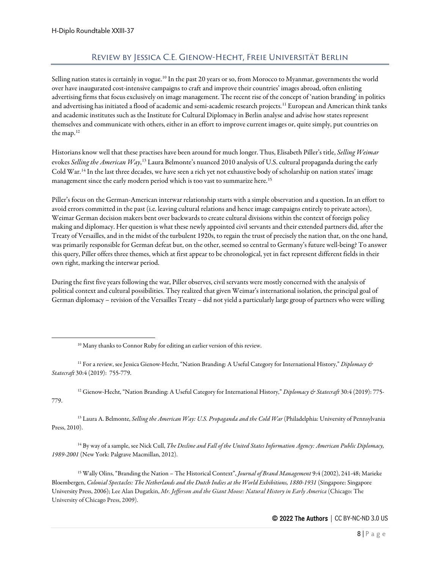# Review by Jessica C.E. Gienow-Hecht, Freie Universität Berlin

<span id="page-7-0"></span>Selling nation states is certainly in vogue.<sup>[10](#page-7-1)</sup> In the past 20 years or so, from Morocco to Myanmar, governments the world over have inaugurated cost-intensive campaigns to craft and improve their countries' images abroad, often enlisting advertising firms that focus exclusively on image management. The recent rise of the concept of 'nation branding' in politics and advertising has initiated a flood of academic and semi-academic research projects.<sup>[11](#page-7-2)</sup> European and American think tanks and academic institutes such as the Institute for Cultural Diplomacy in Berlin analyse and advise how states represent themselves and communicate with others, either in an effort to improve current images or, quite simply, put countries on the map.[12](#page-7-3)

Historians know well that these practises have been around for much longer. Thus, Elisabeth Piller's title, *Selling Weimar* evokes *Selling the American Way*, <sup>[13](#page-7-4)</sup> Laura Belmonte's nuanced 2010 analysis of U.S. cultural propaganda during the early Cold War.[14](#page-7-5) In the last three decades, we have seen a rich yet not exhaustive body of scholarship on nation states' image management since the early modern period which is too vast to summarize here.<sup>[15](#page-7-6)</sup>

Piller's focus on the German-American interwar relationship starts with a simple observation and a question. In an effort to avoid errors committed in the past (i.e. leaving cultural relations and hence image campaigns entirely to private actors), Weimar German decision makers bent over backwards to create cultural divisions within the context of foreign policy making and diplomacy. Her question is what these newly appointed civil servants and their extended partners did, after the Treaty of Versailles, and in the midst of the turbulent 1920s, to regain the trust of precisely the nation that, on the one hand, was primarily responsible for German defeat but, on the other, seemed so central to Germany's future well-being? To answer this query, Piller offers three themes, which at first appear to be chronological, yet in fact represent different fields in their own right, marking the interwar period.

During the first five years following the war, Piller observes, civil servants were mostly concerned with the analysis of political context and cultural possibilities. They realized that given Weimar's international isolation, the principal goal of German diplomacy – revision of the Versailles Treaty – did not yield a particularly large group of partners who were willing

<sup>10</sup> Many thanks to Connor Ruby for editing an earlier version of this review.

<span id="page-7-2"></span><span id="page-7-1"></span><sup>11</sup> For a review, see Jessica Gienow-Hecht, "Nation Branding: A Useful Category for International History," *Diplomacy & Statecraft* 30:4 (2019): 755-779.

<span id="page-7-3"></span><sup>12</sup> Gienow-Hecht, "Nation Branding: A Useful Category for International History," *Diplomacy & Statecraft* 30:4 (2019): 775- 779.

<span id="page-7-4"></span><sup>13</sup> Laura A. Belmonte, *Selling the American Way: U.S. Propaganda and the Cold War* (Philadelphia: University of Pennsylvania Press, 2010).

<span id="page-7-5"></span><sup>14</sup> By way of a sample, see Nick Cull, *The Decline and Fall of the United States Information Agency: American Public Diplomacy, 1989-2001* (New York: Palgrave Macmillan, 2012).

<span id="page-7-6"></span><sup>15</sup> Wally Olins, "Branding the Nation – The Historical Context", *Journal of Brand Management* 9:4 (2002), 241-48; Marieke Bloembergen, *Colonial Spectacles: The Netherlands and the Dutch Indies at the World Exhibitions, 1880-1931* (Singapore: Singapore University Press, 2006); Lee Alan Dugatkin, *Mr. Jefferson and the Giant Moose: Natural History in Early America* (Chicago: The University of Chicago Press, 2009).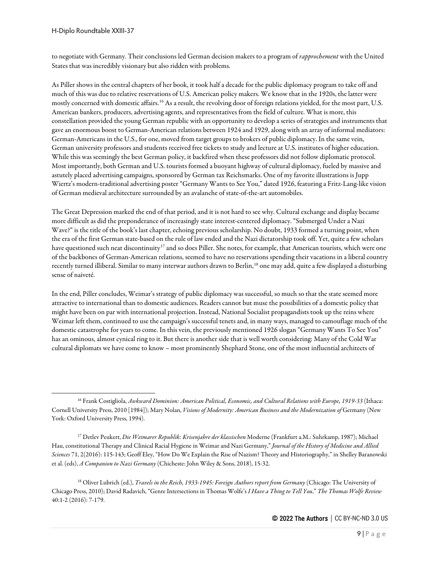to negotiate with Germany. Their conclusions led German decision makers to a program of *rapprochement* with the United States that was incredibly visionary but also ridden with problems.

As Piller shows in the central chapters of her book, it took half a decade for the public diplomacy program to take off and much of this was due to relative reservations of U.S. American policy makers. We know that in the 1920s, the latter were mostly concerned with domestic affairs.[16](#page-8-0) As a result, the revolving door of foreign relations yielded, for the most part, U.S. American bankers, producers, advertising agents, and representatives from the field of culture. What is more, this constellation provided the young German republic with an opportunity to develop a series of strategies and instruments that gave an enormous boost to German-American relations between 1924 and 1929, along with an array of informal mediators: German-Americans in the U.S., for one, moved from target groups to brokers of public diplomacy. In the same vein, German university professors and students received free tickets to study and lecture at U.S. institutes of higher education. While this was seemingly the best German policy, it backfired when these professors did not follow diplomatic protocol. Most importantly, both German and U.S. tourists formed a buoyant highway of cultural diplomacy, fueled by massive and astutely placed advertising campaigns, sponsored by German tax Reichsmarks. One of my favorite illustrations is Jupp Wiertz's modern-traditional advertising poster "Germany Wants to See You," dated 1926, featuring a Fritz-Lang-like vision of German medieval architecture surrounded by an avalanche of state-of-the-art automobiles.

The Great Depression marked the end of that period, and it is not hard to see why. Cultural exchange and display became more difficult as did the preponderance of increasingly state interest-centered diplomacy. "Submerged Under a Nazi Wave?" is the title of the book's last chapter, echoing previous scholarship. No doubt, 1933 formed a turning point, when the era of the first German state-based on the rule of law ended and the Nazi dictatorship took off. Yet, quite a few scholars have questioned such neat discontinuity<sup>[17](#page-8-1)</sup> and so does Piller. She notes, for example, that American tourists, which were one of the backbones of German-American relations, seemed to have no reservations spending their vacations in a liberal country recently turned illiberal. Similar to many interwar authors drawn to Berlin,[18](#page-8-2) one may add, quite a few displayed a disturbing sense of naiveté.

In the end, Piller concludes, Weimar's strategy of public diplomacy was successful, so much so that the state seemed more attractive to international than to domestic audiences. Readers cannot but muse the possibilities of a domestic policy that might have been on par with international projection. Instead, National Socialist propagandists took up the reins where Weimar left them, continued to use the campaign's successful tenets and, in many ways, managed to camouflage much of the domestic catastrophe for years to come. In this vein, the previously mentioned 1926 slogan "Germany Wants To See You" has an ominous, almost cynical ring to it. But there is another side that is well worth considering: Many of the Cold War cultural diplomats we have come to know – most prominently Shephard Stone, one of the most influential architects of

<span id="page-8-0"></span><sup>16</sup> Frank Costigliola, *Awkward Dominion: American Political, Economic, and Cultural Relations with Europe, 1919-33* (Ithaca: Cornell University Press, 2010 [1984]); Mary Nolan, *Visions of Modernity: American Business and the Modernization of* Germany (New York: Oxford University Press, 1994).

<span id="page-8-1"></span><sup>17</sup> Detlev Peukert, *Die Weimarer Republik: Krisenjahre der klassischen* Moderne (Frankfurt a.M.: Suhrkamp, 1987); Michael Hau, constitutional Therapy and Clinical Racial Hygiene in Weimar and Nazi Germany," *Journal of the History of Medicine and Allied Sciences* 71, 2(2016): 115-143; Geoff Eley, "How Do We Explain the Rise of Nazism? Theory and Historiography," in Shelley Baranowski et al. (eds), *A Companion to Nazi Germany* (Chicheste: John Wiley & Sons, 2018), 15-32.

<span id="page-8-2"></span><sup>18</sup> Oliver Lubrich (ed.), *Travels in the Reich, 1933-1945: Foreign Authors report from Germany* (Chicago: The University of Chicago Press, 2010); David Radavich, "Genre Intersections in Thomas Wolfe's *I Have a Thing to Tell You*," *The Thomas Wolfe Review* 40:1-2 (2016): 7-179.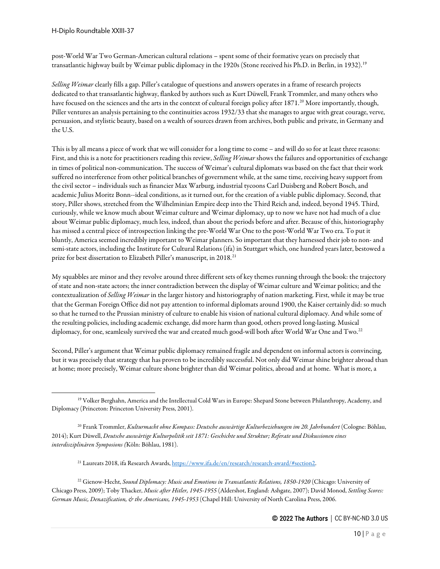post-World War Two German-American cultural relations – spent some of their formative years on precisely that transatlantic highway built by Weimar public diplomacy in the [19](#page-9-0)20s (Stone received his Ph.D. in Berlin, in 1932).<sup>19</sup>

*Selling Weimar*clearly fills a gap. Piller's catalogue of questions and answers operates in a frame of research projects dedicated to that transatlantic highway, flanked by authors such as Kurt Düwell, Frank Trommler, and many others who have focused on the sciences and the arts in the context of cultural foreign policy after 1871.<sup>[20](#page-9-1)</sup> More importantly, though, Piller ventures an analysis pertaining to the continuities across 1932/33 that she manages to argue with great courage, verve, persuasion, and stylistic beauty, based on a wealth of sources drawn from archives, both public and private, in Germany and the U.S.

This is by all means a piece of work that we will consider for a long time to come – and will do so for at least three reasons: First, and this is a note for practitioners reading this review, *Selling Weimar* shows the failures and opportunities of exchange in times of political non-communication. The success of Weimar's cultural diplomats was based on the fact that their work suffered no interference from other political branches of government while, at the same time, receiving heavy support from the civil sector – individuals such as financier Max Warburg, industrial tycoons Carl Duisberg and Robert Bosch, and academic Julius Moritz Bonn--ideal conditions, as it turned out, for the creation of a viable public diplomacy. Second, that story, Piller shows, stretched from the Wilhelminian Empire deep into the Third Reich and, indeed, beyond 1945. Third, curiously, while we know much about Weimar culture and Weimar diplomacy, up to now we have not had much of a clue about Weimar public diplomacy, much less, indeed, than about the periods before and after. Because of this, historiography has missed a central piece of introspection linking the pre-World War One to the post-World War Two era. To put it bluntly, America seemed incredibly important to Weimar planners. So important that they harnessed their job to non- and semi-state actors, including the Institute for Cultural Relations (ifa) in Stuttgart which, one hundred years later, bestowed a prize for best dissertation to Elizabeth Piller's manuscript, in 2018.<sup>[21](#page-9-2)</sup>

My squabbles are minor and they revolve around three different sets of key themes running through the book: the trajectory of state and non-state actors; the inner contradiction between the display of Weimar culture and Weimar politics; and the contextualization of *Selling Weimar* in the larger history and historiography of nation marketing. First, while it may be true that the German Foreign Office did not pay attention to informal diplomats around 1900, the Kaiser certainly did: so much so that he turned to the Prussian ministry of culture to enable his vision of national cultural diplomacy. And while some of the resulting policies, including academic exchange, did more harm than good, others proved long-lasting. Musical diplomacy, for one, seamlessly survived the war and created much good-will both after World War One and Two.<sup>[22](#page-9-3)</sup>

Second, Piller's argument that Weimar public diplomacy remained fragile and dependent on informal actors is convincing, but it was precisely that strategy that has proven to be incredibly successful. Not only did Weimar shine brighter abroad than at home; more precisely, Weimar culture shone brighter than did Weimar politics, abroad and at home. What is more, a

<span id="page-9-0"></span><sup>19</sup> Volker Berghahn, America and the Intellectual Cold Wars in Europe: Shepard Stone between Philanthropy, Academy, and Diplomacy (Princeton: Princeton University Press, 2001).

<span id="page-9-1"></span><sup>&</sup>lt;sup>20</sup> Frank Trommler, *Kulturmacht ohne Kompass: Deutsche auswärtige Kulturbeziehungen im 20. Jahrhundert (Cologne: Böhlau,* 2014); Kurt Düwell, *Deutsche auswärtige Kulturpolitik seit 1871: Geschichte und Struktur; Referate und Diskussionen eines interdisziplinären Symposions (*Köln: Böhlau, 1981).

<sup>21</sup> Laureats 2018, ifa Research Awards[, https://www.ifa.de/en/research/research-award/#section2.](https://www.ifa.de/en/research/research-award/#section2) 

<span id="page-9-3"></span><span id="page-9-2"></span><sup>22</sup> Gienow-Hecht, *Sound Diplomacy: Music and Emotions in Transatlantic Relations, 1850-1920* (Chicago: University of Chicago Press, 2009); Toby Thacker, *Music after Hitler, 1945-1955* (Aldershot, England: Ashgate, 2007); David Monod, *Settling Scores: German Music, Denazification, & the Americans, 1945-1953* (Chapel Hill: University of North Carolina Press, 2006.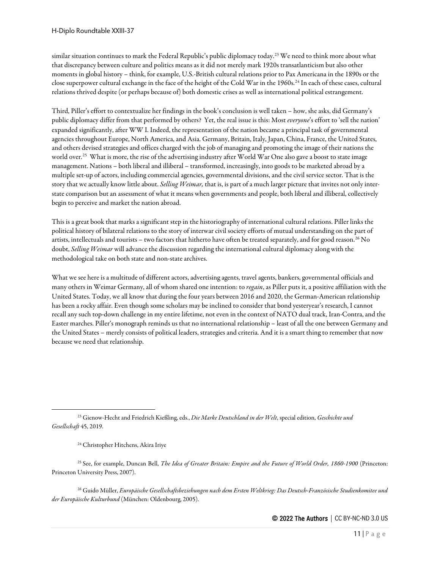similar situation continues to mark the Federal Republic's public diplomacy today.[23](#page-10-0) We need to think more about what that discrepancy between culture and politics means as it did not merely mark 1920s transatlanticism but also other moments in global history – think, for example, U.S.-British cultural relations prior to Pax Americana in the 1890s or the close superpower cultural exchange in the face of the height of the Cold War in the 1960s.<sup>[24](#page-10-1)</sup> In each of these cases, cultural relations thrived despite (or perhaps because of) both domestic crises as well as international political estrangement.

Third, Piller's effort to contextualize her findings in the book's conclusion is well taken – how, she asks, did Germany's public diplomacy differ from that performed by others? Yet, the real issue is this: Most *everyone*'s effort to 'sell the nation' expanded significantly, after WW I. Indeed, the representation of the nation became a principal task of governmental agencies throughout Europe, North America, and Asia. Germany, Britain, Italy, Japan, China, France, the United States, and others devised strategies and offices charged with the job of managing and promoting the image of their nations the world over.<sup>25</sup> What is more, the rise of the advertising industry after World War One also gave a boost to state image management. Nations – both liberal and illiberal – transformed, increasingly, into goods to be marketed abroad by a multiple set-up of actors, including commercial agencies, governmental divisions, and the civil service sector. That is the story that we actually know little about. *Selling Weimar,* that is, is part of a much larger picture that invites not only interstate comparison but an assessment of what it means when governments and people, both liberal and illiberal, collectively begin to perceive and market the nation abroad.

This is a great book that marks a significant step in the historiography of international cultural relations. Piller links the political history of bilateral relations to the story of interwar civil society efforts of mutual understanding on the part of artists, intellectuals and tourists – two factors that hitherto have often be treated separately, and for good reason.<sup>[26](#page-10-3)</sup> No doubt, *Selling Weimar* will advance the discussion regarding the international cultural diplomacy along with the methodological take on both state and non-state archives.

What we see here is a multitude of different actors, advertising agents, travel agents, bankers, governmental officials and many others in Weimar Germany, all of whom shared one intention: to *regain*, as Piller puts it, a positive affiliation with the United States. Today, we all know that during the four years between 2016 and 2020, the German-American relationship has been a rocky affair. Even though some scholars may be inclined to consider that bond yesteryear's research, I cannot recall any such top-down challenge in my entire lifetime, not even in the context of NATO dual track, Iran-Contra, and the Easter marches. Piller's monograph reminds us that no international relationship – least of all the one between Germany and the United States – merely consists of political leaders, strategies and criteria. And it is a smart thing to remember that now because we need that relationship.

<span id="page-10-0"></span><sup>23</sup> Gienow-Hecht and Friedrich Kießling, eds., *Die Marke Deutschland in der Welt*, special edition, *Geschichte und Gesellschaft* 45, 2019.

<sup>24</sup> Christopher Hitchens, Akira Iriye

<span id="page-10-2"></span><span id="page-10-1"></span><sup>25</sup> See, for example, Duncan Bell, *The Idea of Greater Britain: Empire and the Future of World Order, 1860-1900* (Princeton: Princeton University Press, 2007).

<span id="page-10-3"></span><sup>26</sup> Guido Müller, *Europäische Gesellschaftsbeziehungen nach dem Ersten Weltkrieg: Das Deutsch-Französische Studienkomitee und der Europäische Kulturbund* (München: Oldenbourg, 2005).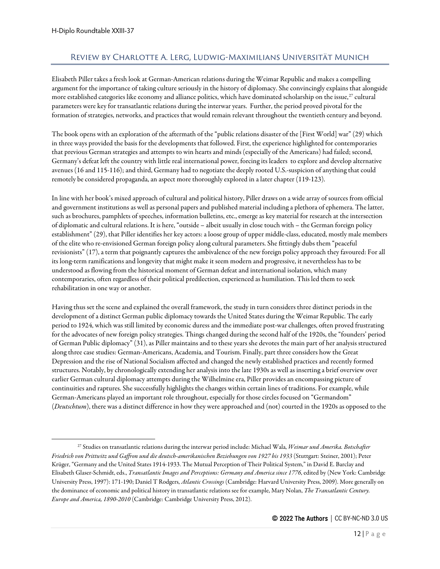## <span id="page-11-0"></span>Review by Charlotte A. Lerg, Ludwig-Maximilians Universität Munich

Elisabeth Piller takes a fresh look at German-American relations during the Weimar Republic and makes a compelling argument for the importance of taking culture seriously in the history of diplomacy. She convincingly explains that alongside more established categories like economy and alliance politics, which have dominated scholarship on the issue,<sup>[27](#page-11-1)</sup> cultural parameters were key for transatlantic relations during the interwar years. Further, the period proved pivotal for the formation of strategies, networks, and practices that would remain relevant throughout the twentieth century and beyond.

The book opens with an exploration of the aftermath of the "public relations disaster of the [First World] war" (29) which in three ways provided the basis for the developments that followed. First, the experience highlighted for contemporaries that previous German strategies and attempts to win hearts and minds (especially of the Americans) had failed; second, Germany's defeat left the country with little real international power, forcing its leaders to explore and develop alternative avenues (16 and 115-116); and third, Germany had to negotiate the deeply rooted U.S.-suspicion of anything that could remotely be considered propaganda, an aspect more thoroughly explored in a later chapter (119-123).

In line with her book's mixed approach of cultural and political history, Piller draws on a wide array of sources from official and government institutions as well as personal papers and published material including a plethora of ephemera. The latter, such as brochures, pamphlets of speeches, information bulletins, etc., emerge as key material for research at the intersection of diplomatic and cultural relations. It is here, "outside – albeit usually in close touch with – the German foreign policy establishment" (29), that Piller identifies her key actors: a loose group of upper middle-class, educated, mostly male members of the elite who re-envisioned German foreign policy along cultural parameters. She fittingly dubs them "peaceful revisionists" (17), a term that poignantly captures the ambivalence of the new foreign policy approach they favoured: For all its long-term ramifications and longevity that might make it seem modern and progressive, it nevertheless has to be understood as flowing from the historical moment of German defeat and international isolation, which many contemporaries, often regardless of their political predilection, experienced as humiliation. This led them to seek rehabilitation in one way or another.

Having thus set the scene and explained the overall framework, the study in turn considers three distinct periods in the development of a distinct German public diplomacy towards the United States during the Weimar Republic. The early period to 1924, which was still limited by economic duress and the immediate post-war challenges, often proved frustrating for the advocates of new foreign policy strategies. Things changed during the second half of the 1920s, the "founders' period of German Public diplomacy" (31), as Piller maintains and to these years she devotes the main part of her analysis structured along three case studies: German-Americans, Academia, and Tourism. Finally, part three considers how the Great Depression and the rise of National Socialism affected and changed the newly established practices and recently formed structures. Notably, by chronologically extending her analysis into the late 1930s as well as inserting a brief overview over earlier German cultural diplomacy attempts during the Wilhelmine era, Piller provides an encompassing picture of continuities and raptures. She successfully highlights the changes within certain lines of traditions. For example, while German-Americans played an important role throughout, especially for those circles focused on "Germandom" (*Deutschtum*), there was a distinct difference in how they were approached and (not) courted in the 1920s as opposed to the

<span id="page-11-1"></span><sup>27</sup> Studies on transatlantic relations during the interwar period include: Michael Wala, *Weimar und Amerika. Botschafter Friedrich von Prittwitz und Gaffron und die deutsch-amerikanischen Beziehungen von 1927 bis 1933* (Stuttgart: Steiner, 2001); Peter Krüger, "Germany and the United States 1914-1933. The Mutual Perception of Their Political System," in David E. Barclay and Elisabeth Glaser-Schmidt, eds., *Transatlantic Images and Perceptions: Germany and America since 1776*, edited by (New York: Cambridge University Press, 1997): 171-190; Daniel T Rodgers, *Atlantic Crossings* (Cambridge: Harvard University Press, 2009). More generally on the dominance of economic and political history in transatlantic relations see for example, Mary Nolan, *The Transatlantic Century. Europe and America, 1890-2010* (Cambridge: Cambridge University Press, 2012).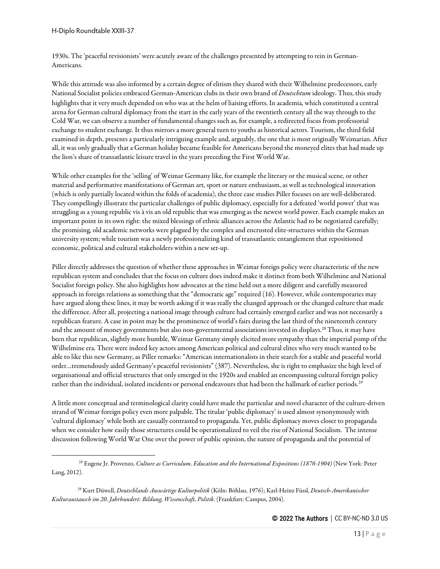1930s. The 'peaceful revisionists' were acutely aware of the challenges presented by attempting to rein in German-Americans.

While this attitude was also informed by a certain degree of elitism they shared with their Wilhelmine predecessors, early National Socialist policies embraced German-American clubs in their own brand of *Deutschtum* ideology. Thus, this study highlights that it very much depended on who was at the helm of liaising efforts. In academia, which constituted a central arena for German cultural diplomacy from the start in the early years of the twentieth century all the way through to the Cold War, we can observe a number of fundamental changes such as, for example, a redirected focus from professorial exchange to student exchange. It thus mirrors a more general turn to youths as historical actors. Tourism, the third field examined in depth, presents a particularly intriguing example and, arguably, the one that is most originally Weimarian. After all, it was only gradually that a German holiday became feasible for Americans beyond the moneyed elites that had made up the lion's share of transatlantic leisure travel in the years preceding the First World War.

While other examples for the 'selling' of Weimar Germany like, for example the literary or the musical scene, or other material and performative manifestations of German art, sport or nature enthusiasm, as well as technological innovation (which is only partially located within the folds of academia), the three case studies Piller focuses on are well-deliberated. They compellingly illustrate the particular challenges of public diplomacy, especially for a defeated 'world power' that was struggling as a young republic vis à vis an old republic that was emerging as the newest world power. Each example makes an important point in its own right: the mixed blessings of ethnic alliances across the Atlantic had to be negotiated carefully; the promising, old academic networks were plagued by the complex and encrusted elite-structures within the German university system; while tourism was a newly professionalizing kind of transatlantic entanglement that repositioned economic, political and cultural stakeholders within a new set-up.

Piller directly addresses the question of whether these approaches in Weimar foreign policy were characteristic of the new republican system and concludes that the focus on culture does indeed make it distinct from both Wilhelmine and National Socialist foreign policy. She also highlights how advocates at the time held out a more diligent and carefully measured approach in foreign relations as something that the "democratic age" required (16). However, while contemporaries may have argued along these lines, it may be worth asking if it was really the changed approach or the changed culture that made the difference. After all, projecting a national image through culture had certainly emerged earlier and was not necessarily a republican feature. A case in point may be the prominence of world's fairs during the last third of the nineteenth century and the amount of money governments but also non-governmental associations invested in displays.[28](#page-12-0) Thus, it may have been that republican, slightly more humble, Weimar Germany simply elicited more sympathy than the imperial pomp of the Wilhelmine era. There were indeed key actors among American political and cultural elites who very much wanted to be able to like this new Germany, as Piller remarks: "American internationalists in their search for a stable and peaceful world order…tremendously aided Germany's peaceful revisionists" (387). Nevertheless, she is right to emphasize the high level of organisational and official structures that only emerged in the 1920s and enabled an encompassing cultural foreign policy rather than the individual, isolated incidents or personal endeavours that had been the hallmark of earlier periods.<sup>[29](#page-12-1)</sup>

A little more conceptual and terminological clarity could have made the particular and novel character of the culture-driven strand of Weimar foreign policy even more palpable. The titular 'public diplomacy' is used almost synonymously with 'cultural diplomacy' while both are casually contrasted to propaganda. Yet, public diplomacy moves closer to propaganda when we consider how easily those structures could be operationalized to veil the rise of National Socialism. The intense discussion following World War One over the power of public opinion, the nature of propaganda and the potential of

<span id="page-12-0"></span><sup>28</sup> Eugene Jr. Provenzo, *Culture as Curriculum. Education and the International Expositions (1876-1904)* (New York: Peter Lang, 2012).

<span id="page-12-1"></span><sup>29</sup> Kurt Düwell, *Deutschlands Auswärtige Kulturpolitik* (Köln: Böhlau, 1976); Karl-Heinz Füssl, *Deutsch-Amerikanischer Kulturaustausch im 20. Jahrhundert: Bildung, Wissenschaft, Politik*. (Frankfurt: Campus, 2004).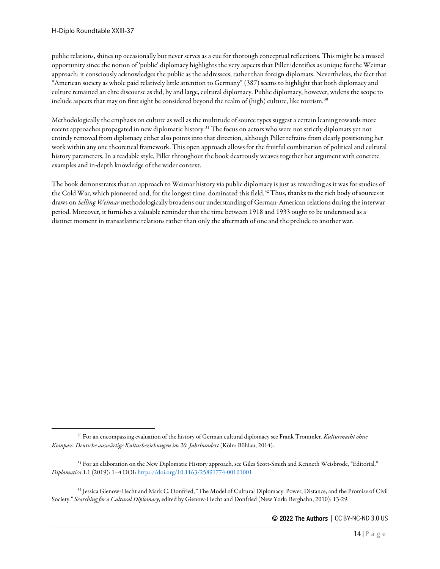public relations, shines up occasionally but never serves as a cue for thorough conceptual reflections. This might be a missed opportunity since the notion of 'public' diplomacy highlights the very aspects that Piller identifies as unique for the Weimar approach: it consciously acknowledges the public as the addressees, rather than foreign diplomats. Nevertheless, the fact that "American society as whole paid relatively little attention to Germany" (387) seems to highlight that both diplomacy and culture remained an elite discourse as did, by and large, cultural diplomacy. Public diplomacy, however, widens the scope to include aspects that may on first sight be considered beyond the realm of (high) culture, like tourism.<sup>30</sup>

Methodologically the emphasis on culture as well as the multitude of source types suggesta certain leaning towards more recent approaches propagated in new diplomatic history.<sup>[31](#page-13-1)</sup> The focus on actors who were not strictly diplomats yet not entirely removed from diplomacy either also points into that direction, although Piller refrains from clearly positioning her work within any one theoretical framework. This open approach allows for the fruitful combination of political and cultural history parameters. In a readable style, Piller throughout the book dextrously weaves together her argument with concrete examples and in-depth knowledge of the wider context.

The book demonstrates that an approach to Weimar history via public diplomacy is just as rewarding as it was for studies of the Cold War, which pioneered and, for the longest time, dominated this field.<sup>[32](#page-13-2)</sup> Thus, thanks to the rich body of sources it draws on *Selling Weimar* methodologically broadens our understanding of German-American relations during the interwar period. Moreover, it furnishes a valuable reminder that the time between 1918 and 1933 ought to be understood as a distinct moment in transatlantic relations rather than only the aftermath of one and the prelude to another war.

<span id="page-13-0"></span><sup>30</sup> For an encompassing evaluation of the history of German cultural diplomacy see Frank Trommler, *Kulturmacht ohne Kompass. Deutsche auswärtige Kulturbeziehungen im 20. Jahrhundert* (Köln: Böhlau, 2014).

<span id="page-13-1"></span><sup>&</sup>lt;sup>31</sup> For an elaboration on the New Diplomatic History approach, see Giles Scott-Smith and Kenneth Weisbrode, "Editorial," *Diplomatica* 1.1 (2019): 1–4 DOI[: https://doi.org/10.1163/25891774-00101001](https://doi.org/10.1163/25891774-00101001)

<span id="page-13-2"></span><sup>32</sup> Jessica Gienow-Hecht and Mark C. Donfried, "The Model of Cultural Diplomacy. Power, Distance, and the Promise of Civil Society." *Searching for a Cultural Diplomacy*, edited by Gienow-Hecht and Donfried (New York: Berghahn, 2010): 13-29.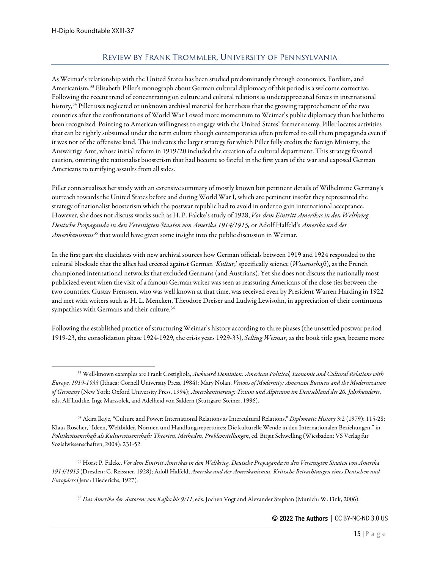# Review by Frank Trommler, University of Pennsylvania

<span id="page-14-0"></span>As Weimar's relationship with the United States has been studied predominantly through economics, Fordism, and Americanism,<sup>[33](#page-14-1)</sup> Elisabeth Piller's monograph about German cultural diplomacy of this period is a welcome corrective. Following the recent trend of concentrating on culture and cultural relations as underappreciated forces in international history,[34](#page-14-2) Piller uses neglected or unknown archival material for her thesis that the growing rapprochement of the two countries after the confrontations of World War I owed more momentum to Weimar's public diplomacy than has hitherto been recognized. Pointing to American willingness to engage with the United States' former enemy, Piller locates activities that can be rightly subsumed under the term culture though contemporaries often preferred to call them propaganda even if it was not of the offensive kind. This indicates the larger strategy for which Piller fully credits the foreign Ministry, the Auswärtige Amt, whose initial reform in 1919/20 included the creation of a cultural department. This strategy favored caution, omitting the nationalist boosterism that had become so fateful in the first years of the war and exposed German Americans to terrifying assaults from all sides.

Piller contextualizes her study with an extensive summary of mostly known but pertinent details of Wilhelmine Germany's outreach towards the United States before and during World War I, which are pertinent insofar they represented the strategy of nationalist boosterism which the postwar republic had to avoid in order to gain international acceptance. However, she does not discuss works such as H. P. Falcke's study of 1928, *Vor dem Eintritt Amerikas in den Weltkrieg. Deutsche Propaganda in den Vereinigten Staaten von Amerika 1914/1915,* or Adolf Halfeld's *Amerika und der Amerikanismus*[35](#page-14-3) that would have given some insight into the public discussion in Weimar.

In the first part she elucidates with new archival sources how German officials between 1919 and 1924 responded to the cultural blockade that the allies had erected against German '*Kultur*,' specifically science (*Wissenschaft*), as the French championed international networks that excluded Germans (and Austrians). Yet she does not discuss the nationally most publicized event when the visit of a famous German writer was seen as reassuring Americans of the close ties between the two countries. Gustav Frenssen, who was well known at that time, was received even by President Warren Harding in 1922 and met with writers such as H. L. Mencken, Theodore Dreiser and Ludwig Lewisohn, in appreciation of their continuous sympathies with Germans and their culture.<sup>[36](#page-14-4)</sup>

Following the established practice of structuring Weimar's history according to three phases (the unsettled postwar period 1919-23, the consolidation phase 1924-1929, the crisis years 1929-33), *Selling Weimar*, as the book title goes, became more

<span id="page-14-4"></span><span id="page-14-3"></span><sup>35</sup> Horst P. Falcke, *Vor dem Eintritt Amerikas in den Weltkrieg. Deutsche Propaganda in den Vereinigten Staaten von Amerika 1914/1915* (Dresden: C. Reissner, 1928); Adolf Halfeld, *Amerika und der Amerikanismus. Kritische Betrachtungen eines Deutschen und Europäers* (Jena: Diederichs, 1927).

<sup>36</sup> *Das Amerika der Autoren: von Kafka bis 9/11*, eds. Jochen Vogt and Alexander Stephan (Munich: W. Fink, 2006).

<span id="page-14-1"></span><sup>33</sup> Well-known examples are Frank Costigliola, *Awkward Dominion: American Political, Economic and Cultural Relations with Europe, 1919-1933* (Ithaca: Cornell University Press, 1984); Mary Nolan, *Visions of Modernity: American Business and the Modernization of Germany* (New York: Oxford University Press, 1994); *Amerikanisierung: Traum und Alptraum im Deutschland des 20. Jahrhunderts*, eds. Alf Ludtke, Inge Marssolek, and Adelheid von Saldern (Stuttgart: Steiner, 1996).

<span id="page-14-2"></span><sup>34</sup> Akira Ikiye, "Culture and Power: International Relations as Intercultural Relations," *Diplomatic History* 3:2 (1979): 115-28; Klaus Roscher, "Ideen, Weltbilder, Normen und Handlungsrepertoires: Die kulturelle Wende in den Internationalen Beziehungen," in *Politikwissenschaft als Kulturwissenschaft: Theorien, Methoden, Problemstellungen*, ed. Birgit Schwelling (Wiesbaden: VS Verlag für Sozialwissenschaften, 2004): 231-52.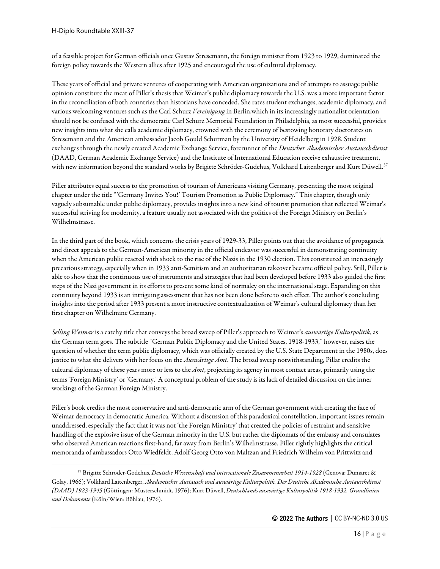of a feasible project for German officials once Gustav Stresemann, the foreign minister from 1923 to 1929, dominated the foreign policy towards the Western allies after 1925 and encouraged the use of cultural diplomacy.

These years of official and private ventures of cooperating with American organizations and of attempts to assuage public opinion constitute the meat of Piller's thesis that Weimar's public diplomacy towards the U.S. was a more important factor in the reconciliation of both countries than historians have conceded. She rates student exchanges, academic diplomacy, and various welcoming ventures such as the Carl Schurz *Vereinigung* in Berlin,which in its increasingly nationalist orientation should not be confused with the democratic Carl Schurz Memorial Foundation in Philadelphia, as most successful, provides new insights into what she calls academic diplomacy, crowned with the ceremony of bestowing honorary doctorates on Stresemann and the American ambassador Jacob Gould Schurman by the University of Heidelberg in 1928. Student exchanges through the newly created Academic Exchange Service, forerunner of the *Deutscher Akademischer Austauschdienst* (DAAD, German Academic Exchange Service) and the Institute of International Education receive exhaustive treatment, with new information beyond the standard works by Brigitte Schröder-Gudehus, Volkhard Laitenberger and Kurt Düwell.<sup>[37](#page-15-0)</sup>

Piller attributes equal success to the promotion of tourism of Americans visiting Germany, presenting the most original chapter under the title "'Germany Invites You!' Tourism Promotion as Public Diplomacy." This chapter, though only vaguely subsumable under public diplomacy, provides insights into a new kind of tourist promotion that reflected Weimar's successful striving for modernity, a feature usually not associated with the politics of the Foreign Ministry on Berlin's Wilhelmstrasse.

In the third part of the book, which concerns the crisis years of 1929-33, Piller points out that the avoidance of propaganda and direct appeals to the German-American minority in the official endeavor was successful in demonstrating continuity when the American public reacted with shock to the rise of the Nazis in the 1930 election. This constituted an increasingly precarious strategy, especially when in 1933 anti-Semitism and an authoritarian takeover became official policy. Still, Piller is able to show that the continuous use of instruments and strategies that had been developed before 1933 also guided the first steps of the Nazi government in its efforts to present some kind of normalcy on the international stage. Expanding on this continuity beyond 1933 is an intriguing assessment that has not been done before to such effect. The author's concluding insights into the period after 1933 present a more instructive contextualization of Weimar's cultural diplomacy than her first chapter on Wilhelmine Germany.

*Selling Weimar* is a catchy title that conveys the broad sweep of Piller's approach to Weimar's *auswärtige Kulturpolitik*, as the German term goes. The subtitle "German Public Diplomacy and the United States, 1918-1933," however, raises the question of whether the term public diplomacy, which was officially created by the U.S. State Department in the 1980s, does justice to what she delivers with her focus on the *Auswärtige Amt*. The broad sweep notwithstanding, Pillar credits the cultural diplomacy of these years more or less to the *Amt*, projecting its agency in most contact areas, primarily using the terms 'Foreign Ministry' or 'Germany.' A conceptual problem of the study is its lack of detailed discussion on the inner workings of the German Foreign Ministry.

Piller's book credits the most conservative and anti-democratic arm of the German government with creating the face of Weimar democracy in democratic America. Without a discussion of this paradoxical constellation, important issues remain unaddressed, especially the fact that it was not 'the Foreign Ministry' that created the policies of restraint and sensitive handling of the explosive issue of the German minority in the U.S. but rather the diplomats of the embassy and consulates who observed American reactions first-hand, far away from Berlin's Wilhelmstrasse. Piller rightly highlights the critical memoranda of ambassadors Otto Wiedfeldt, Adolf Georg Otto von Maltzan and Friedrich Wilhelm von Prittwitz and

<span id="page-15-0"></span><sup>37</sup> Brigitte Schröder-Godehus, *Deutsche Wissenschaft und internationale Zusammenarbeit 1914-1928* (Genova: Dumaret & Golay, 1966); Volkhard Laitenberger, *Akademischer Austausch und auswärtige Kulturpolitik. Der Deutsche Akademische Austauschdienst (DAAD) 1923-1945* (Göttingen: Musterschmidt, 1976); Kurt Düwell, *Deutschlands auswärtige Kulturpolitik 1918-1932. Grundlinien und Dokumente* (Köln/Wien: Böhlau, 1976).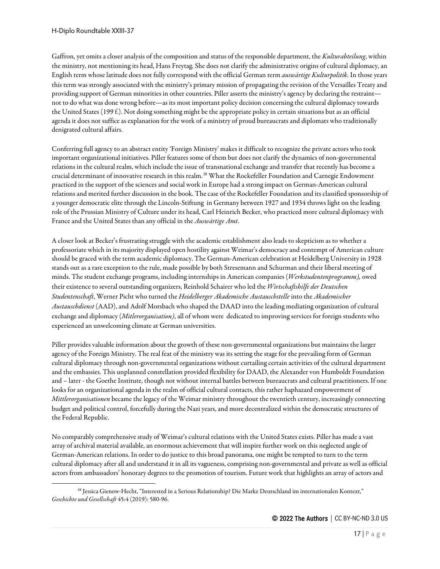Gaffron, yet omits a closer analysis of the composition and status of the responsible department, the *Kulturabteilung*, within the ministry, not mentioning its head, Hans Freytag. She does not clarify the administrative origins of cultural diplomacy, an English term whose latitude does not fully correspond with the official German term *auswärtige Kulturpolitik.* In those years this term was strongly associated with the ministry's primary mission of propagating the revision of the Versailles Treaty and providing support of German minorities in other countries. Piller asserts the ministry's agency by declaring the restraint not to do what was done wrong before—as its most important policy decision concerning the cultural diplomacy towards the United States (199 f.). Not doing something might be the appropriate policy in certain situations but as an official agenda it does not suffice as explanation for the work of a ministry of proud bureaucrats and diplomats who traditionally denigrated cultural affairs.

Conferring full agency to an abstract entity 'Foreign Ministry' makes it difficult to recognize the private actors who took important organizational initiatives. Piller features some of them but does not clarify the dynamics of non-governmental relations in the cultural realm, which include the issue of transnational exchange and transfer that recently has become a crucial determinant of innovative research in this realm.<sup>[38](#page-16-0)</sup> What the Rockefeller Foundation and Carnegie Endowment practiced in the support of the sciences and social work in Europe had a strong impact on German-American cultural relations and merited further discussion in the book. The case of the Rockefeller Foundation and its classified sponsorship of a younger democratic elite through the Lincoln-Stiftung in Germany between 1927 and 1934 throws light on the leading role of the Prussian Ministry of Culture under its head, Carl Heinrich Becker, who practiced more cultural diplomacy with France and the United States than any official in the *Auswärtige Amt*.

A closer look at Becker's frustrating struggle with the academic establishment also leads to skepticism as to whether a professoriate which in its majority displayed open hostility against Weimar's democracy and contempt of American culture should be graced with the term academic diplomacy. The German-American celebration at Heidelberg University in 1928 stands out as a rare exception to the rule, made possible by both Stresemann and Schurman and their liberal meeting of minds. The student exchange programs, including internships in American companies (*Werkstudentenprogramm),* owed their existence to several outstanding organizers, Reinhold Schairer who led the *Wirtschaftshilfe der Deutschen Studentenschaft*, Werner Picht who turned the *Heidelberger Akademische Austauschstelle* into the *Akademischer Austauschdienst* (AAD), and Adolf Morsbach who shaped the DAAD into the leading mediating organization of cultural exchange and diplomacy (*Mitlerorganisation)*, all of whom were dedicated to improving services for foreign students who experienced an unwelcoming climate at German universities.

Piller provides valuable information about the growth of these non-governmental organizations but maintains the larger agency of the Foreign Ministry. The real feat of the ministry was its setting the stage for the prevailing form of German cultural diplomacy through non-governmental organizations without curtailing certain activities of the cultural department and the embassies. This unplanned constellation provided flexibility for DAAD, the Alexander von Humboldt Foundation and – later - the Goethe Institute, though not without internal battles between bureaucrats and cultural practitioners. If one looks for an organizational agenda in the realm of official cultural contacts, this rather haphazard empowerment of *Mittlerorganisationen* became the legacy of the Weimar ministry throughout the twentieth century, increasingly connecting budget and political control, forcefully during the Nazi years, and more decentralized within the democratic structures of the Federal Republic.

No comparably comprehensive study of Weimar's cultural relations with the United States exists. Piller has made a vast array of archival material available, an enormous achievement that will inspire further work on this neglected angle of German-American relations. In order to do justice to this broad panorama, one might be tempted to turn to the term cultural diplomacy after all and understand it in all its vagueness, comprising non-governmental and private as well as official actors from ambassadors' honorary degrees to the promotion of tourism. Future work that highlights an array of actors and

<span id="page-16-0"></span><sup>38</sup> Jessica Gienow-Hecht, "Interested in a Serious Relationship? Die Marke Deutschland im internationalen Kontext," *Geschichte und Gesellschaft* 45:4 (2019): 580-96.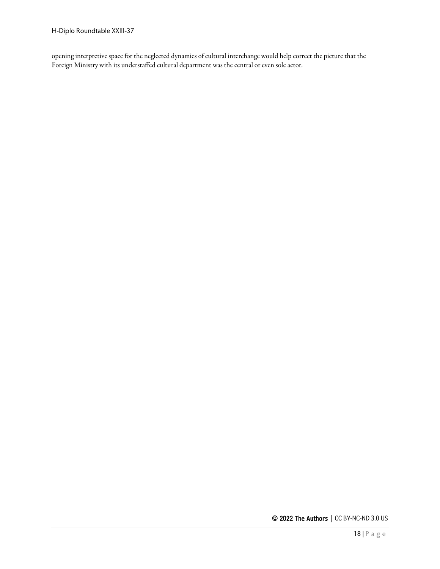opening interpretive space for the neglected dynamics of cultural interchange would help correct the picture that the Foreign Ministry with its understaffed cultural department was the central or even sole actor.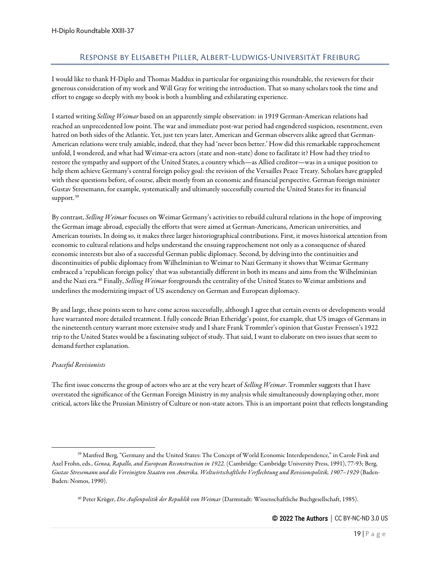## Response by Elisabeth Piller, Albert-Ludwigs-Universität Freiburg

<span id="page-18-0"></span>I would like to thank H-Diplo and Thomas Maddux in particular for organizing this roundtable, the reviewers for their generous consideration of my work and Will Gray for writing the introduction. That so many scholars took the time and effort to engage so deeply with my book is both a humbling and exhilarating experience.

I started writing *Selling Weimar* based on an apparently simple observation: in 1919 German-American relations had reached an unprecedented low point. The war and immediate post-war period had engendered suspicion, resentment, even hatred on both sides of the Atlantic. Yet, just ten years later, American and German observers alike agreed that German-American relations were truly amiable, indeed, that they had 'never been better.' How did this remarkable rapprochement unfold, I wondered, and what had Weimar-era actors (state and non-state) done to facilitate it? How had they tried to restore the sympathy and support of the United States, a country which—as Allied creditor—was in a unique position to help them achieve Germany's central foreign policy goal: the revision of the Versailles Peace Treaty. Scholars have grappled with these questions before, of course, albeit mostly from an economic and financial perspective. German foreign minister Gustav Stresemann, for example, systematically and ultimately successfully courted the United States for its financial support.<sup>39</sup>

By contrast, *Selling Weimar* focuses on Weimar Germany's activities to rebuild cultural relations in the hope of improving the German image abroad, especially the efforts that were aimed at German-Americans, American universities, and American tourists. In doing so, it makes three larger historiographical contributions. First, it moves historical attention from economic to cultural relations and helps understand the ensuing rapprochement not only as a consequence of shared economic interests but also of a successful German public diplomacy. Second, by delving into the continuities and discontinuities of public diplomacy from Wilhelminian to Weimar to Nazi Germany it shows that Weimar Germany embraced a 'republican foreign policy' that was substantially different in both its means and aims from the Wilhelminian and the Nazi era.[40](#page-18-2) Finally, *Selling Weimar* foregrounds the centrality of the United States to Weimar ambitions and underlines the modernizing impact of US ascendency on German and European diplomacy.

By and large, these points seem to have come across successfully, although I agree that certain events or developments would have warranted more detailed treatment. I fully concede Brian Etheridge's point, for example, that US images of Germans in the nineteenth century warrant more extensive study and I share Frank Trommler's opinion that Gustav Frenssen's 1922 trip to the United States would be a fascinating subject of study. That said, I want to elaborate on two issues that seem to demand further explanation.

#### *Peaceful Revisionists*

The first issue concerns the group of actors who are at the very heart of *Selling Weimar*. Trommler suggests that I have overstated the significance of the German Foreign Ministry in my analysis while simultaneously downplaying other, more critical, actors like the Prussian Ministry of Culture or non-state actors. This is an important point that reflects longstanding

<span id="page-18-2"></span><span id="page-18-1"></span><sup>39</sup> Manfred Berg, "Germany and the United States: The Concept of World Economic Interdependence," in Carole Fink and Axel Frohn, eds., *Genoa, Rapallo, and European Reconstruction in 1922.* (Cambridge: Cambridge University Press, 1991), 77-93; Berg, *Gustav Stresemann und die Vereinigten Staaten von Amerika. Weltwirtschaftliche Verflechtung und Revisionspolitik, 1907–1929* (Baden-Baden: Nomos, 1990).

<sup>40</sup> Peter Krüger, *Die Außenpolitik der Republik von Weimar* (Darmstadt: Wissenschaftliche Buchgesellschaft, 1985).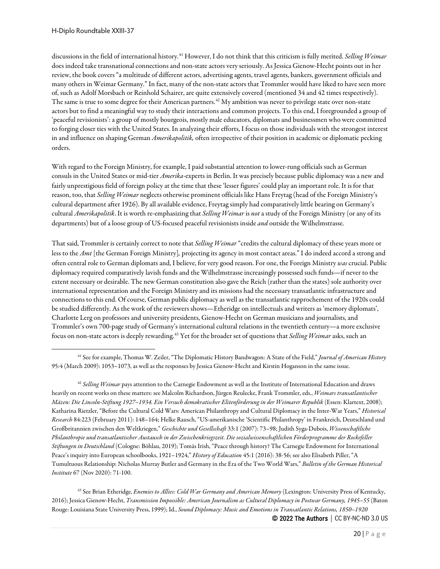discussions in the field of international history.[41](#page-19-0) However, I do not think that this criticism is fully merited. *Selling Weimar*  does indeed take transnational connections and non-state actors very seriously. As Jessica Gienow-Hecht points out in her review, the book covers "a multitude of different actors, advertising agents, travel agents, bankers, government officials and many others in Weimar Germany." In fact, many of the non-state actors that Trommler would have liked to have seen more of, such as Adolf Morsbach or Reinhold Schairer, are quite extensively covered (mentioned 34 and 42 times respectively). The same is true to some degree for their American partners.<sup>[42](#page-19-1)</sup> My ambition was never to privilege state over non-state actors but to find a meaningful way to study their interactions and common projects. To this end, I foregrounded a group of 'peaceful revisionists': a group of mostly bourgeois, mostly male educators, diplomats and businessmen who were committed to forging closer ties with the United States. In analyzing their efforts, I focus on those individuals with the strongest interest in and influence on shaping German *Amerikapolitik,* often irrespective of their position in academic or diplomatic pecking orders.

With regard to the Foreign Ministry, for example, I paid substantial attention to lower-rung officials such as German consuls in the United States or mid-tier *Amerika-*experts in Berlin. It was precisely because public diplomacy was a new and fairly unprestigious field of foreign policy at the time that these 'lesser figures' could play an important role. It is for that reason, too, that *Selling Weimar* neglects otherwise prominent officials like Hans Freytag (head of the Foreign Ministry's cultural department after 1926). By all available evidence, Freytag simply had comparatively little bearing on Germany's cultural *Amerikapolitik*. It is worth re-emphasizing that *Selling Weimar* is *not*a study of the Foreign Ministry (or any of its departments) but of a loose group of US-focused peaceful revisionists inside *and* outside the Wilhelmstrasse.

That said, Trommler is certainly correct to note that *Selling Weimar* "credits the cultural diplomacy of these years more or less to the *Amt* [the German Foreign Ministry]*,* projecting its agency in most contact areas." I do indeed accord a strong and often central role to German diplomats and, I believe, for very good reason. For one, the Foreign Ministry *was* crucial. Public diplomacy required comparatively lavish funds and the Wilhelmstrasse increasingly possessed such funds—if never to the extent necessary or desirable. The new German constitution also gave the Reich (rather than the states) sole authority over international representation and the Foreign Ministry and its missions had the necessary transatlantic infrastructure and connections to this end. Of course, German public diplomacy as well as the transatlantic rapprochement of the 1920s could be studied differently. As the work of the reviewers shows—Etheridge on intellectuals and writers as 'memory diplomats', Charlotte Lerg on professors and university presidents, Gienow-Hecht on German musicians and journalists, and Trommler's own 700-page study of Germany's international cultural relations in the twentieth century—a more exclusive focus on non-state actors is deeply rewarding.[43](#page-19-2) Yet for the broader set of questions that *Selling Weimar*asks, such an

<span id="page-19-2"></span><sup>43</sup> See Brian Etheridge, *Enemies to Allies: Cold War Germany and American Memory* (Lexington: University Press of Kentucky, 2016); Jessica Gienow-Hecht, *Transmission Impossible: American Journalism as Cultural Diplomacy in Postwar Germany, 1945–55* (Baton Rouge: Louisiana State University Press, 1999); Id., *Sound Diplomacy: Music and Emotions in Transatlantic Relations, 1850–1920*

<span id="page-19-0"></span><sup>41</sup> See for example, Thomas W. Zeiler, "The Diplomatic History Bandwagon: A State of the Field," *Journal of American History* 95:4 (March 2009): 1053–1073, as well as the responses by Jessica Gienow-Hecht and Kirstin Hoganson in the same issue.

<span id="page-19-1"></span><sup>42</sup> *Selling Weimar* pays attention to the Carnegie Endowment as well as the Institute of International Education and draws heavily on recent works on these matters: see Malcolm Richardson, Jürgen Reulecke, Frank Trommler, eds., *Weimars transatlantischer Mäzen: Die Lincoln-Stiftung 1927–1934. Ein Versuch demokratischer Elitenförderung in der Weimarer Republik* (Essen: Klartext, 2008); Katharina Rietzler, "Before the Cultural Cold Wars: American Philanthropy and Cultural Diplomacy in the Inter-War Years," *Historical Research* 84:223 (February 2011): 148–164; Helke Rausch, "US-amerikanische 'Scientific Philanthropy' in Frankreich, Deutschland und Großbritannien zwischen den Weltkriegen," *Geschichte und Gesellschaft* 33:1 (2007): 73–98; Judith Syga-Dubois, *Wissenschaftliche Philanthropie und transatlantischer Austausch in der Zwischenkriegszeit. Die sozialwissenschaftlichen Förderprogramme der Rockefeller Stiftungen in Deutschland* (Cologne: Böhlau, 2019); Tomás Irish, "Peace through history? The Carnegie Endowment for International Peace's inquiry into European schoolbooks, 1921–1924," *History of Education* 45:1 (2016): 38-56; see also Elisabeth Piller, "A Tumultuous Relationship: Nicholas Murray Butler and Germany in the Era of the Two World Wars," *Bulletin of the German Historical Institute* 67 (Nov 2020): 71-100.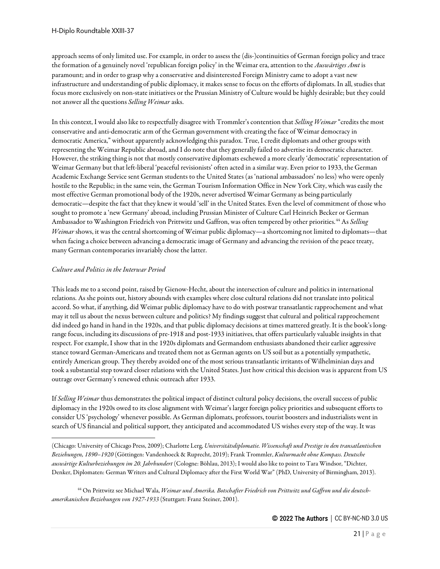approach seems of only limited use. For example, in order to assess the (dis-)continuities of German foreign policy and trace the formation of a genuinely novel 'republican foreign policy' in the Weimar era, attention to the *Auswärtiges Amt* is paramount; and in order to grasp why a conservative and disinterested Foreign Ministry came to adopt a vast new infrastructure and understanding of public diplomacy, it makes sense to focus on the efforts of diplomats. In all, studies that focus more exclusively on non-state initiatives or the Prussian Ministry of Culture would be highly desirable; but they could not answer all the questions *Selling Weimar*asks.

In this context, I would also like to respectfully disagree with Trommler's contention that *Selling Weimar* "credits the most conservative and anti-democratic arm of the German government with creating the face of Weimar democracy in democratic America," without apparently acknowledging this paradox. True, I credit diplomats and other groups with representing the Weimar Republic abroad, and I do note that they generally failed to advertise its democratic character. However, the striking thing is not that mostly conservative diplomats eschewed a more clearly 'democratic' representation of Weimar Germany but that left-liberal 'peaceful revisionists' often acted in a similar way. Even prior to 1933, the German Academic Exchange Service sent German students to the United States (as 'national ambassadors' no less) who were openly hostile to the Republic; in the same vein, the German Tourism Information Office in New York City, which was easily the most effective German promotional body of the 1920s, never advertised Weimar Germany as being particularly democratic—despite the fact that they knew it would 'sell' in the United States. Even the level of commitment of those who sought to promote a 'new Germany' abroad, including Prussian Minister of Culture Carl Heinrich Becker or German Ambassador to Washington Friedrich von Prittwitz und Gaffron, was often tempered by other priorities.[44](#page-20-0) As *Selling Weimar* shows, it was the central shortcoming of Weimar public diplomacy—a shortcoming not limited to diplomats—that when facing a choice between advancing a democratic image of Germany and advancing the revision of the peace treaty, many German contemporaries invariably chose the latter.

## *Culture and Politics in the Interwar Period*

This leads me to a second point, raised by Gienow-Hecht, about the intersection of culture and politics in international relations. As she points out, history abounds with examples where close cultural relations did not translate into political accord. So what, if anything, did Weimar public diplomacy have to do with postwar transatlantic rapprochement and what may it tell us about the nexus between culture and politics? My findings suggest that cultural and political rapprochement did indeed go hand in hand in the 1920s, and that public diplomacy decisions at times mattered greatly. It is the book's longrange focus, including its discussions of pre-1918 and post-1933 initiatives, that offers particularly valuable insights in that respect. For example, I show that in the 1920s diplomats and Germandom enthusiastsabandoned their earlier aggressive stance toward German-Americans and treated them not as German agents on US soil but as a potentially sympathetic, entirely American group. They thereby avoided one of the most serious transatlantic irritants of Wilhelminian days and took a substantial step toward closer relations with the United States. Just how critical this decision was is apparent from US outrage over Germany's renewed ethnic outreach after 1933.

If *Selling Weimar* thus demonstrates the political impact of distinct cultural policy decisions, the overall success of public diplomacy in the 1920s owed to its close alignment with Weimar's larger foreign policy priorities and subsequent efforts to consider US 'psychology' whenever possible. As German diplomats, professors, tourist boosters and industrialists went in search of US financial and political support, they anticipated and accommodated US wishes every step of the way. It was

(Chicago: University of Chicago Press, 2009); Charlotte Lerg, *Universitätsdiplomatie. Wissenschaft und Prestige in den transatlantischen Beziehungen, 1890–1920* (Göttingen: Vandenhoeck & Ruprecht, 2019); Frank Trommler, *Kulturmacht ohne Kompass. Deutsche auswärtige Kulturbeziehungen im 20. Jahrhundert* (Cologne: Böhlau, 2013); I would also like to point to Tara Windsor, "Dichter, Denker, Diplomaten: German Writers and Cultural Diplomacy after the First World War" (PhD, University of Birmingham, 2013).

<span id="page-20-0"></span><sup>44</sup> On Prittwitz see Michael Wala, *Weimar und Amerika. Botschafter Friedrich von Prittwitz und Gaffron und die deutschamerikanischen Beziehungen von 1927-1933* (Stuttgart: Franz Steiner, 2001).